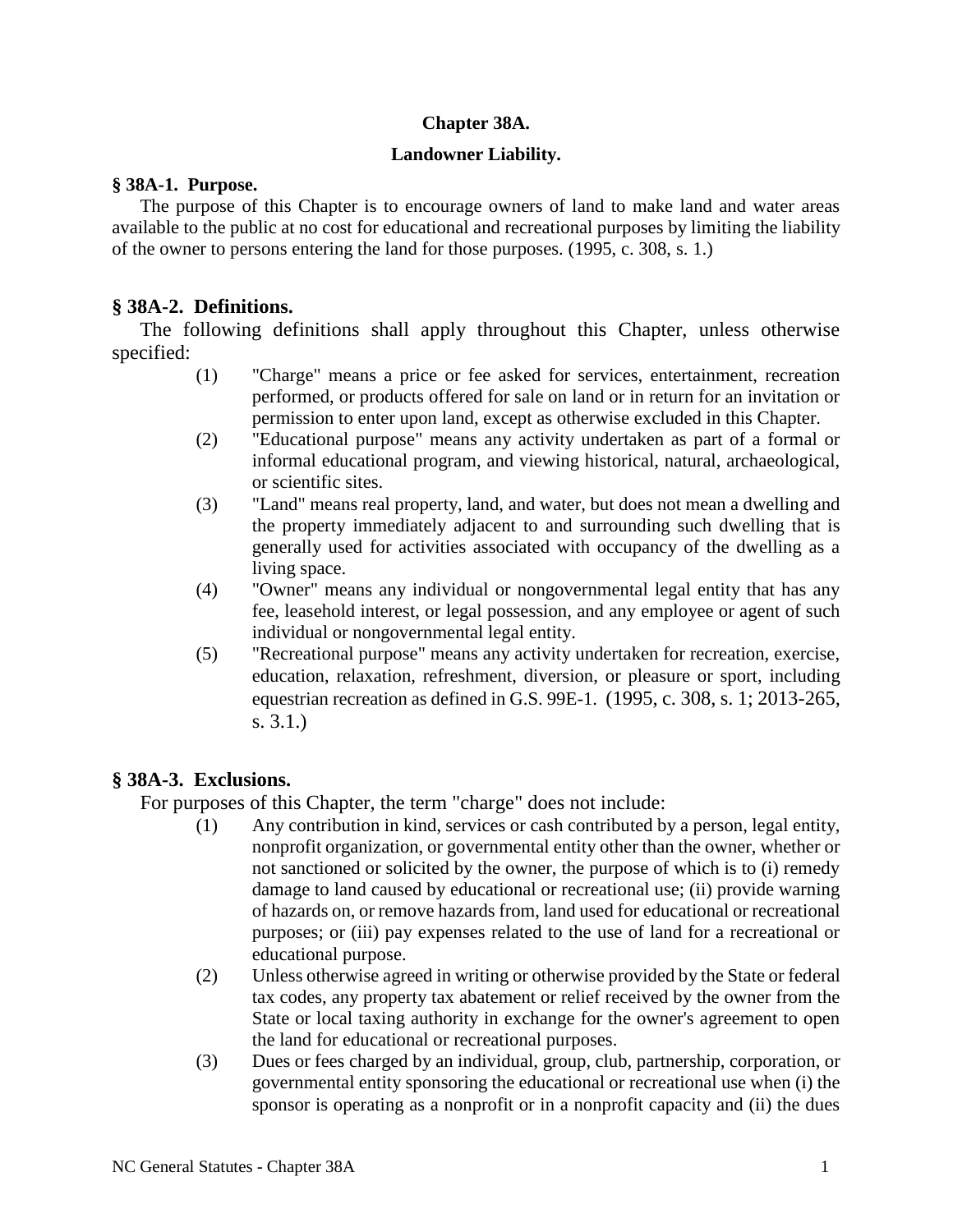## **Chapter 38A.**

## **Landowner Liability.**

#### **§ 38A-1. Purpose.**

The purpose of this Chapter is to encourage owners of land to make land and water areas available to the public at no cost for educational and recreational purposes by limiting the liability of the owner to persons entering the land for those purposes. (1995, c. 308, s. 1.)

## **§ 38A-2. Definitions.**

The following definitions shall apply throughout this Chapter, unless otherwise specified:

- (1) "Charge" means a price or fee asked for services, entertainment, recreation performed, or products offered for sale on land or in return for an invitation or permission to enter upon land, except as otherwise excluded in this Chapter.
- (2) "Educational purpose" means any activity undertaken as part of a formal or informal educational program, and viewing historical, natural, archaeological, or scientific sites.
- (3) "Land" means real property, land, and water, but does not mean a dwelling and the property immediately adjacent to and surrounding such dwelling that is generally used for activities associated with occupancy of the dwelling as a living space.
- (4) "Owner" means any individual or nongovernmental legal entity that has any fee, leasehold interest, or legal possession, and any employee or agent of such individual or nongovernmental legal entity.
- (5) "Recreational purpose" means any activity undertaken for recreation, exercise, education, relaxation, refreshment, diversion, or pleasure or sport, including equestrian recreation as defined in G.S. 99E-1. (1995, c. 308, s. 1; 2013-265, s. 3.1.)

# **§ 38A-3. Exclusions.**

For purposes of this Chapter, the term "charge" does not include:

- (1) Any contribution in kind, services or cash contributed by a person, legal entity, nonprofit organization, or governmental entity other than the owner, whether or not sanctioned or solicited by the owner, the purpose of which is to (i) remedy damage to land caused by educational or recreational use; (ii) provide warning of hazards on, or remove hazards from, land used for educational or recreational purposes; or (iii) pay expenses related to the use of land for a recreational or educational purpose.
- (2) Unless otherwise agreed in writing or otherwise provided by the State or federal tax codes, any property tax abatement or relief received by the owner from the State or local taxing authority in exchange for the owner's agreement to open the land for educational or recreational purposes.
- (3) Dues or fees charged by an individual, group, club, partnership, corporation, or governmental entity sponsoring the educational or recreational use when (i) the sponsor is operating as a nonprofit or in a nonprofit capacity and (ii) the dues